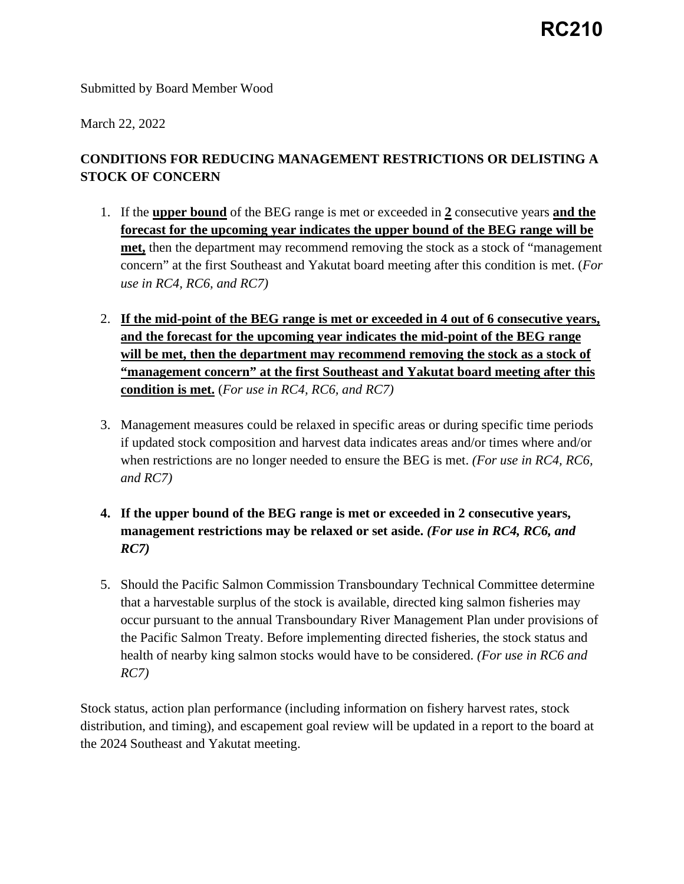Submitted by Board Member Wood

March 22, 2022

## **CONDITIONS FOR REDUCING MANAGEMENT RESTRICTIONS OR DELISTING A STOCK OF CONCERN**

- 1. If the **upper bound** of the BEG range is met or exceeded in **2** consecutive years **and the forecast for the upcoming year indicates the upper bound of the BEG range will be met,** then the department may recommend removing the stock as a stock of "management concern" at the first Southeast and Yakutat board meeting after this condition is met. (*For use in RC4, RC6, and RC7)*
- 2. **If the mid-point of the BEG range is met or exceeded in 4 out of 6 consecutive years, and the forecast for the upcoming year indicates the mid-point of the BEG range will be met, then the department may recommend removing the stock as a stock of "management concern" at the first Southeast and Yakutat board meeting after this condition is met.** (*For use in RC4, RC6, and RC7)*
- 3. Management measures could be relaxed in specific areas or during specific time periods if updated stock composition and harvest data indicates areas and/or times where and/or when restrictions are no longer needed to ensure the BEG is met. *(For use in RC4, RC6, and RC7)*
- **4. If the upper bound of the BEG range is met or exceeded in 2 consecutive years, management restrictions may be relaxed or set aside.** *(For use in RC4, RC6, and RC7)*
- 5. Should the Pacific Salmon Commission Transboundary Technical Committee determine that a harvestable surplus of the stock is available, directed king salmon fisheries may occur pursuant to the annual Transboundary River Management Plan under provisions of the Pacific Salmon Treaty. Before implementing directed fisheries, the stock status and health of nearby king salmon stocks would have to be considered. *(For use in RC6 and RC7)*

Stock status, action plan performance (including information on fishery harvest rates, stock distribution, and timing), and escapement goal review will be updated in a report to the board at the 2024 Southeast and Yakutat meeting.